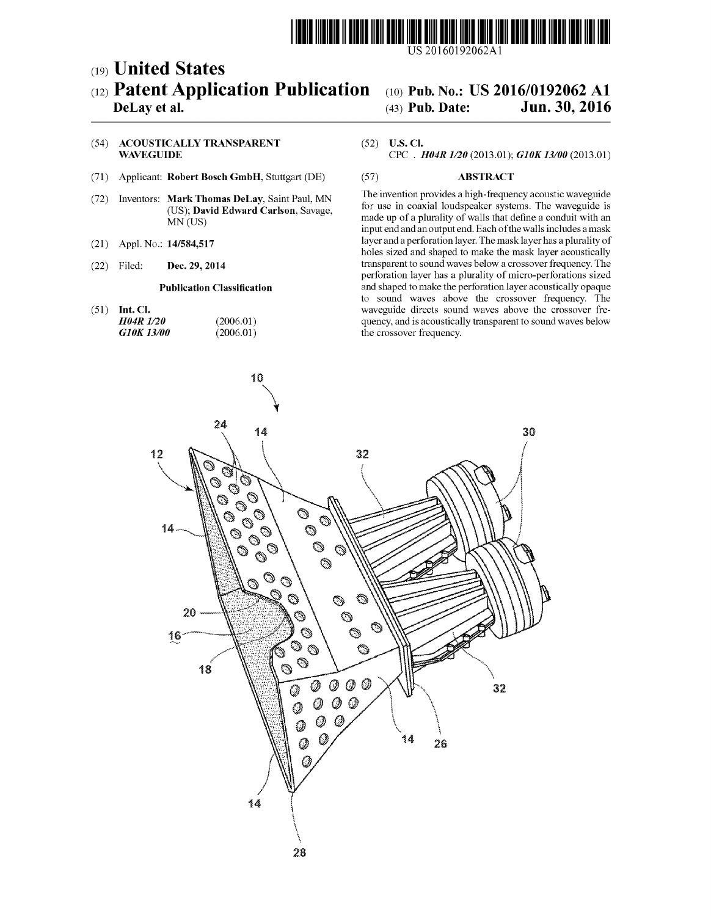

## (19) United States (12) Patent Application Publication (10) Pub. No.: US 2016/0192062 A1<br>DeLay et al. (43) Pub. Date: Jun. 30, 2016

## Jun. 30, 2016

## (54) ACOUSTICALLY TRANSPARENT (52) U.S. Cl.<br>WAVEGUIDE CPC . 1

- (71) Applicant: Robert Bosch GmbH. Stuttgart (DE) (57) ABSTRACT
- 
- 
- 

(72) Inventors: Mark Thomas DeLay, Saint Paul, MN The invention provides a high-frequency acoustic waveguide<br>(US); David Edward Carlson, Savage, the coaxial loudspeaker systems. The waveguide is (OS), **David Edward Carlson**, Bavage, made up of a plurality of walls that define a conduit with an MN (US) input end and an output end. Each of the walls includes a mask (21) Appl. No.: 14/584,517 layer and a perforation layer. The mask layer has a plurality of holes sized and shaped to make the mask layer acoustically (22) Filed: **Dec. 29, 2014** transparent to sound waves below a crossover frequency. The perforation layer has a plurality of micro-perforations sized Publication Classification and shaped to make the perforation layer acoustically opaque to sound waves above the crossover frequency. The (51) Int. Cl. waveguide directs sound waves above the crossover fre-<br> $H04R$   $I/20$  (2006.01) (2006.01) quency, and is acoustically transparent to sound waves below **H04R**  $1/20$  (2006.01) quency, and is acoustically transparent to sound waves below **G10K 13/00** (2006.01) the crossover frequency. the crossover frequency.



CPC .  $H04R$   $1/20$  (2013.01);  $G10K$   $13/00$  (2013.01)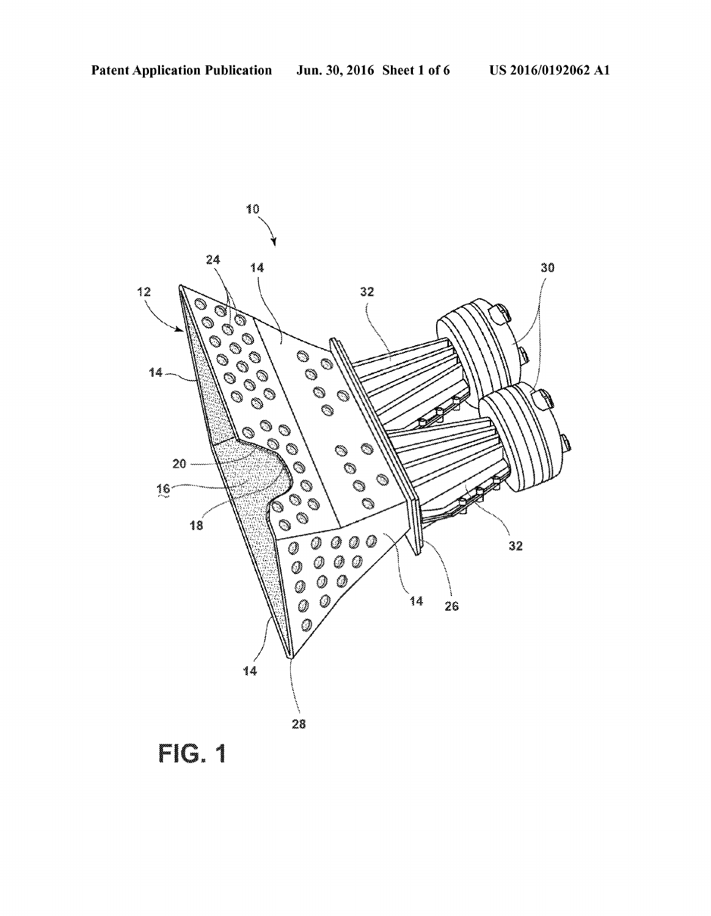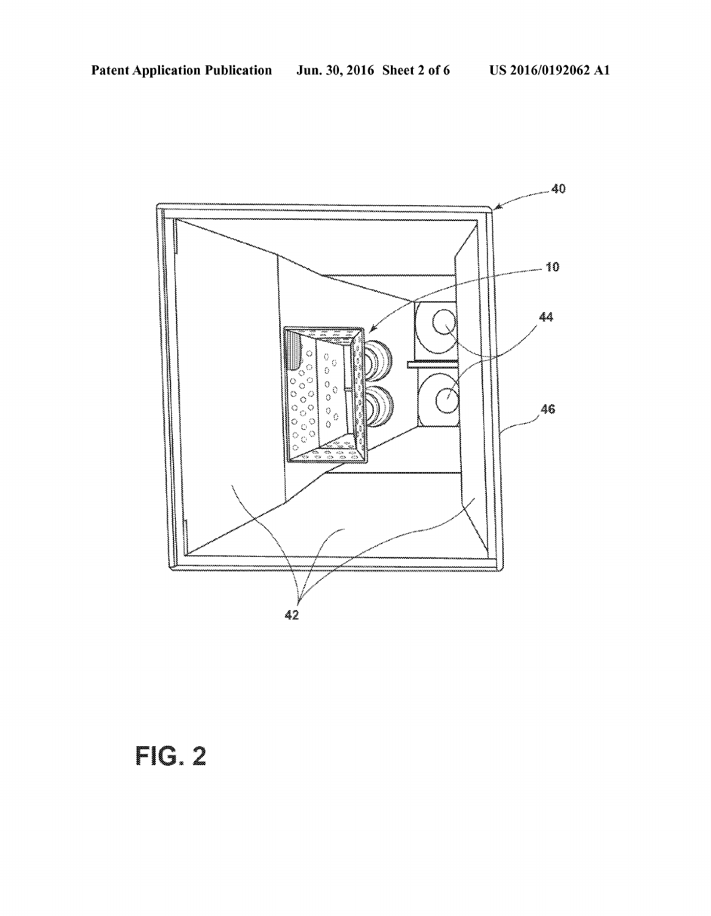

FIG.Z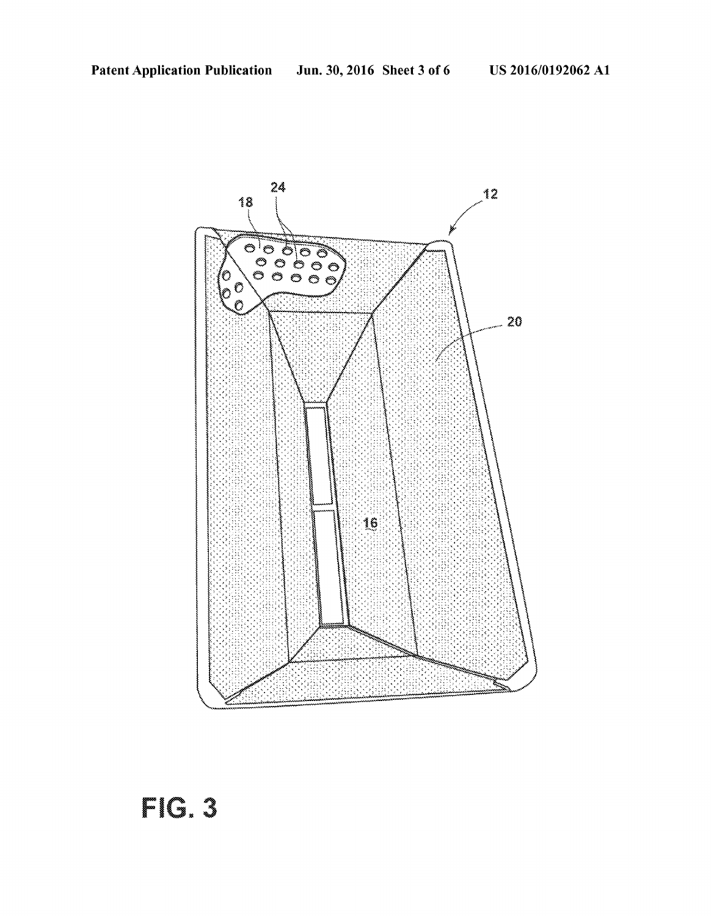

# Film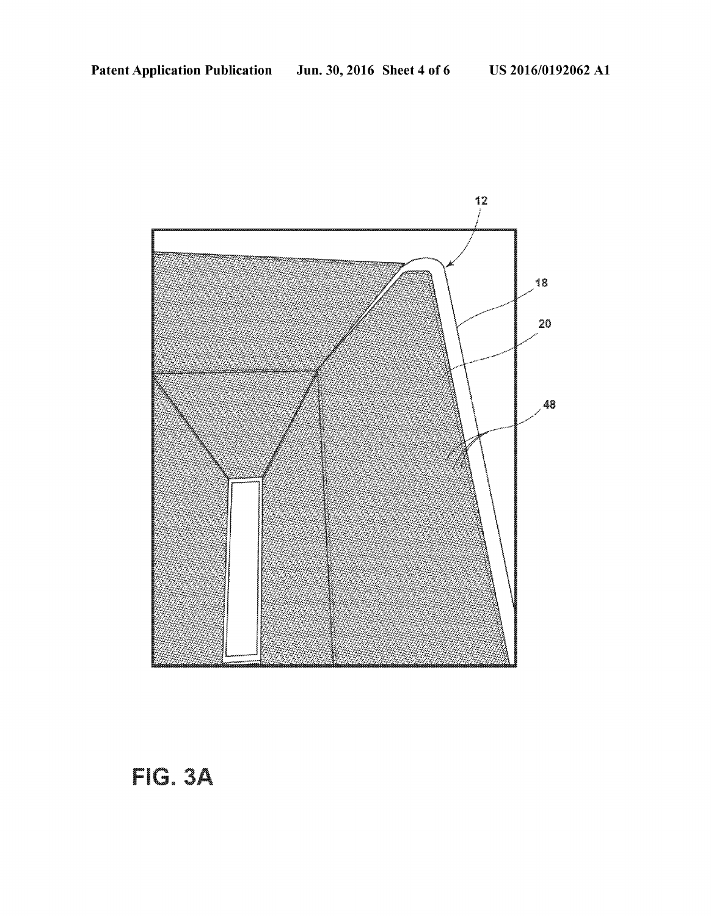

FIG. 3A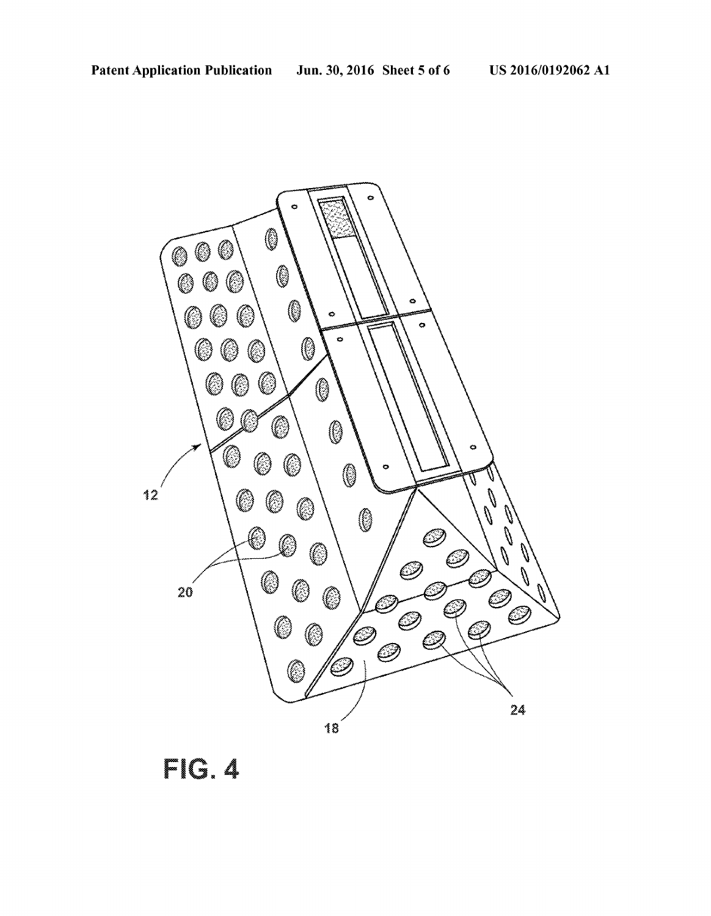

FG.4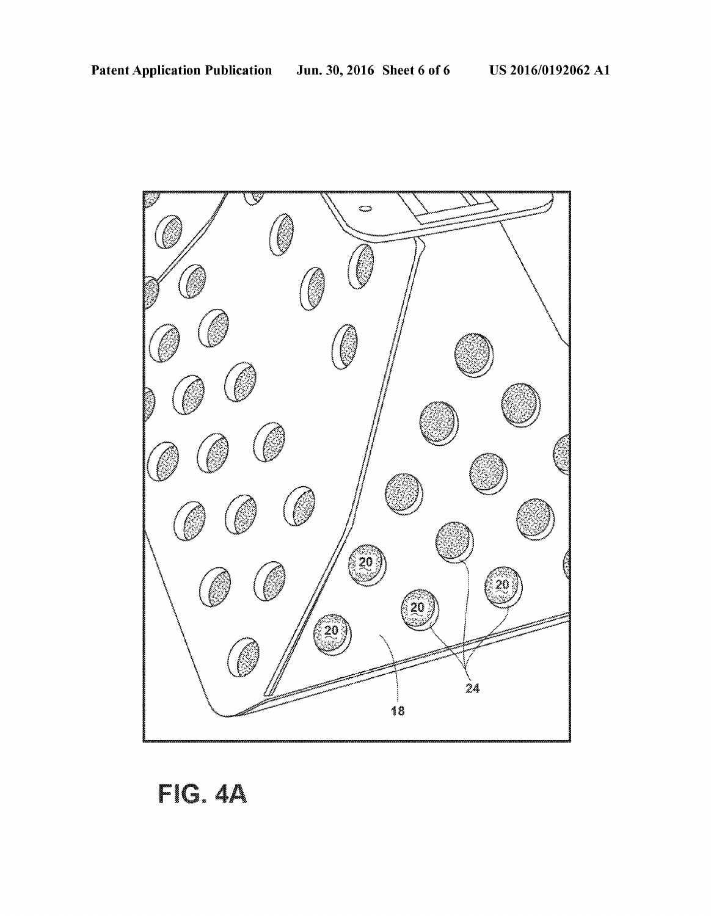

FIG. 4A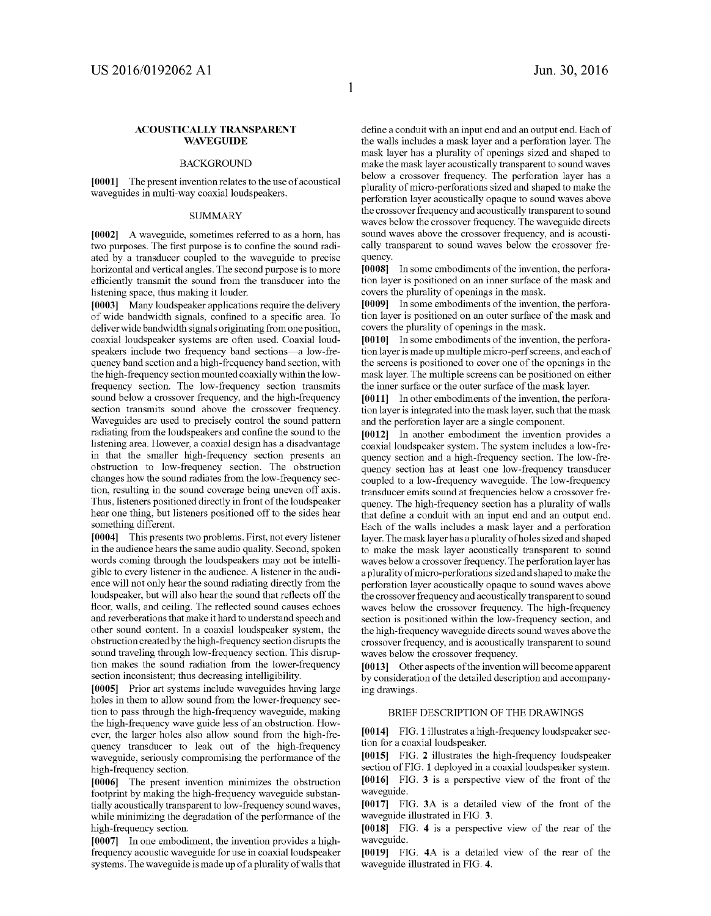### ACOUSTICALLY TRANSPARENT **WAVEGUIDE**

### BACKGROUND

[0001] The present invention relates to the use of acoustical waveguides in multi-way coaxial loudspeakers.

### **SUMMARY**

[0002] A waveguide, sometimes referred to as a horn, has two purposes. The first purpose is to confine the sound radiated by a transducer coupled to the waveguide to precise horizontal and vertical angles. The second purpose is to more efficiently transmit the sound from the transducer into the listening space, thus making it louder.

[0003] Many loudspeaker applications require the delivery of wide bandwidth signals, confined to a specific area. To deliver wide bandwidth signals originating from one position, coaxial loudspeaker systems are often used. Coaxial loudspeakers include two frequency band sections—a low-fre quency band section and a high-frequency band section, with the high-frequency section mounted coaxially within the low frequency section. The low-frequency section transmits sound below a crossover frequency, and the high-frequency<br>section transmits sound above the crossover frequency. Waveguides are used to precisely control the sound pattern radiating from the loudspeakers and confine the sound to the listening area. However, a coaxial design has a disadvantage in that the Smaller high-frequency section presents an obstruction to low-frequency section. The obstruction changes how the sound radiates from the low-frequency sec tion, resulting in the sound coverage being uneven off axis. Thus, listeners positioned directly in front of the loudspeaker hear one thing, but listeners positioned off to the sides hear something different.

[0004] This presents two problems. First, not every listener in the audience hears the same audio quality. Second, spoken words coming through the loudspeakers may not be intelligible to every listener in the audience. A listener in the audi ence will not only hear the sound radiating directly from the loudspeaker, but will also hear the sound that reflects off the floor, walls, and ceiling. The reflected sound causes echoes and reverberations that make it hard to understand speech and other sound content. In a coaxial loudspeaker system, the obstruction created by the high-frequency section disrupts the sound traveling through low-frequency section. This disruption makes the sound radiation from the lower-frequency section inconsistent; thus decreasing intelligibility.

[0005] Prior art systems include waveguides having large holes in them to allow sound from the lower-frequency sec tion to pass through the high-frequency waveguide, making the high-frequency wave guide less of an obstruction. How ever, the larger holes also allow sound from the high-frequency transducer to leak out of the high-frequency waveguide, seriously compromising the performance of the high-frequency section.

[0006] The present invention minimizes the obstruction footprint by making the high-frequency waveguide substantially acoustically transparent to low-frequency sound waves, while minimizing the degradation of the performance of the high-frequency section.<br>[0007] In one embodiment, the invention provides a high-

frequency acoustic waveguide for use in coaxial loudspeaker systems. The waveguide is made up of a plurality of walls that define a conduit with an input end and an output end. Each of the walls includes a mask layer and a perforation layer. The mask layer has a plurality of openings sized and shaped to make the mask layer acoustically transparent to sound waves below a crossover frequency. The perforation layer has a plurality of micro-perforations sized and shaped to make the perforation layer acoustically opaque to Sound waves above the crossover frequency and acoustically transparent to sound waves below the crossover frequency. The waveguide directs sound waves above the crossover frequency, and is acoustically transparent to sound waves below the crossover fre quency.

0008. In some embodiments of the invention, the perfora tion layer is positioned on an inner Surface of the mask and covers the plurality of openings in the mask.<br>[0009] In some embodiments of the invention, the perfora-

tion layer is positioned on an outer surface of the mask and covers the plurality of openings in the mask.<br>[0010] In some embodiments of the invention, the perfora-

tion layer is made up multiple micro-perf screens, and each of the screens is positioned to cover one of the openings in the mask layer. The multiple screens can be positioned on either

the inner surface or the outer surface of the mask layer.<br>[0011] In other embodiments of the invention, the perforation layer is integrated into the mask layer, such that the mask and the perforation layer are a single component.

[0012] In another embodiment the invention provides a coaxial loudspeaker system. The system includes a low-fre quency section and a high-frequency section. The low-fre quency section has at least one low-frequency transducer coupled to a low-frequency waveguide. The low-frequency transducer emits sound at frequencies below a crossover fre quency. The high-frequency section has a plurality of walls that define a conduit with an input end and an output end.<br>Each of the walls includes a mask layer and a perforation layer. The mask layer has a plurality of holes sized and shaped to make the mask layer acoustically transparent to sound waves below a crossover frequency. The perforation layer has a plurality of micro-perforations sized and shaped to make the perforation layer acoustically opaque to Sound waves above the crossover frequency and acoustically transparent to sound<br>waves below the crossover frequency. The high-frequency section is positioned within the low-frequency section, and the high-frequency waveguide directs Sound waves above the crossover frequency, and is acoustically transparent to sound waves below the crossover frequency.<br>
[0013] Other aspects of the invention will become apparent

by consideration of the detailed description and accompanying drawings.

### BRIEF DESCRIPTION OF THE DRAWINGS

[0014] FIG. 1 illustrates a high-frequency loudspeaker section for a coaxial loudspeaker.

[0015] FIG. 2 illustrates the high-frequency loudspeaker section of FIG. 1 deployed in a coaxial loudspeaker system. [0016] FIG. 3 is a perspective view of the front of the waveguide.

[0017] FIG. 3A is a detailed view of the front of the waveguide illustrated in FIG. 3.

[0018] FIG. 4 is a perspective view of the rear of the waveguide.

[0019] FIG. 4A is a detailed view of the rear of the waveguide illustrated in FIG. 4.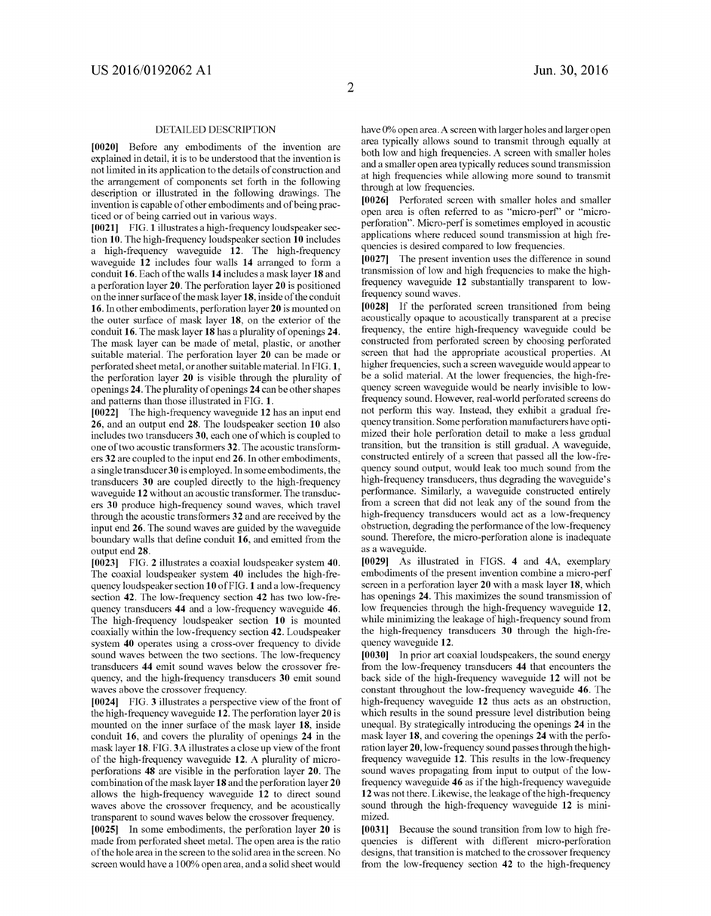### DETAILED DESCRIPTION

[0020] Before any embodiments of the invention are explained in detail, it is to be understood that the invention is not limited in its application to the details of construction and<br>the arrangement of components set forth in the following description or illustrated in the following drawings. The invention is capable of other embodiments and of being practiced or of being carried out in various ways.

[0021] FIG. 1 illustrates a high-frequency loudspeaker section 10. The high-frequency loudspeaker section 10 includes a high-frequency waveguide 12. The high-frequency waveguide 12 includes four walls 14 arranged to form a conduit 16. Each of the walls 14 includes a mask layer 18 and a perforation layer 20. The perforation layer 20 is positioned on the inner surface of the mask layer 18, inside of the conduit 16. In other embodiments, perforation layer 20 is mounted on the outer surface of mask layer 18, on the exterior of the conduit 16. The mask layer 18 has a plurality of openings 24. The mask layer can be made of metal, plastic, or another suitable material. The perforation layer 20 can be made or perforated sheet metal, or another suitable material. In FIG.1. the perforation layer 20 is visible through the plurality of openings 24. The plurality of openings 24 can be other shapes and patterns than those illustrated in FIG. 1.

[0022] The high-frequency waveguide 12 has an input end 26, and an output end 28. The loudspeaker section 10 also includes two transducers 30, each one of which is coupled to one of two acoustic transformers 32. The acoustic transformers 32 are coupled to the input end 26. In other embodiments, a single transducer 30 is employed. In some embodiments, the transducers 30 are coupled directly to the high-frequency waveguide 12 without an acoustic transformer. The transduc ers 30 produce high-frequency sound waves, which travel through the acoustic transformers 32 and are received by the input end 26. The sound waves are guided by the waveguide boundary walls that define conduit 16, and emitted from the output end 28.

0023 FIG. 2 illustrates a coaxial loudspeaker system 40. The coaxial loudspeaker system 40 includes the high-fre quency loudspeaker section 10 of FIG. 1 and a low-frequency section 42. The low-frequency section 42 has two low-fre quency transducers 44 and a low-frequency waveguide 46. The high-frequency loudspeaker section 10 is mounted coaxially within the low-frequency section 42. Loudspeaker system 40 operates using a cross-over frequency to divide sound waves between the two sections. The low-frequency transducers 44 emit sound waves below the crossover fre quency, and the high-frequency transducers 30 emit sound waves above the crossover frequency.

[0024] FIG. 3 illustrates a perspective view of the front of the high-frequency waveguide 12. The perforation layer 20 is mounted on the inner surface of the mask layer 18, inside conduit 16, and covers the plurality of openings 24 in the mask layer 18. FIG.3A illustrates a close up view of the front of the high-frequency waveguide 12. A plurality of micro perforations 48 are visible in the perforation layer 20. The combination of the mask layer 18 and the perforation layer 20 allows the high-frequency waveguide 12 to direct sound waves above the crossover frequency, and be acoustically transparent to sound waves below the crossover frequency.

[0025] In some embodiments, the perforation layer 20 is made from perforated sheet metal. The open area is the ratio of the hole area in the screen to the solid area in the screen. No screen would have a 100% open area, and a solid sheet would have 0% open area. A screen with larger holes and larger open area typically allows Sound to transmit through equally at both low and high frequencies. A screen with smaller holes and a smaller open area typically reduces sound transmission at high frequencies while allowing more Sound to transmit through at low frequencies.

[0026] Perforated screen with smaller holes and smaller open area is often referred to as "micro-perf" or "microperforation'. Micro-perf is sometimes employed in acoustic applications where reduced sound transmission at high frequencies is desired compared to low frequencies.

[0027] The present invention uses the difference in sound transmission of low and high frequencies to make the highfrequency waveguide 12 substantially transparent to lowfrequency sound waves.<br>[0028] If the perforated screen transitioned from being

acoustically opaque to acoustically transparent at a precise frequency, the entire high-frequency waveguide could be constructed from perforated screen by choosing perforated screen that had the appropriate acoustical properties. At higher frequencies, such a screen waveguide would appear to be a solid material. At the lower frequencies, the high-fre quency screen waveguide would be nearly invisible to lowfrequency sound. However, real-world perforated screens do not perform this way. Instead, they exhibit a gradual fre quency transition. Some perforation manufacturers have opti mized their hole perforation detail to make a less gradual transition, but the transition is still gradual. A waveguide, constructed entirely of a screen that passed all the low-fre quency Sound output, would leak too much sound from the high-frequency transducers, thus degrading the waveguide's performance. Similarly, a waveguide constructed entirely from a screen that did not leak any of the sound from the high-frequency transducers would act as a low-frequency obstruction, degrading the performance of the low-frequency sound. Therefore, the micro-perforation alone is inadequate as a waveguide.

0029. As illustrated in FIGS. 4 and 4A, exemplary embodiments of the present invention combine a micro-perf screen in a perforation layer 20 with a mask layer 18, which has openings 24. This maximizes the sound transmission of low frequencies through the high-frequency waveguide 12, while minimizing the leakage of high-frequency sound from the high-frequency transducers 30 through the high-fre quency waveguide 12.

[0030] In prior art coaxial loudspeakers, the sound energy from the low-frequency transducers 44 that encounters the back side of the high-frequency waveguide 12 will not be constant throughout the low-frequency waveguide 46. The high-frequency waveguide 12 thus acts as an obstruction, which results in the sound pressure level distribution being unequal. By strategically introducing the openings 24 in the mask layer 18, and covering the openings 24 with the performation layer 20, low-frequency sound passes through the highfrequency waveguide 12. This results in the low-frequency sound waves propagating from input to output of the lowfrequency waveguide 46 as if the high-frequency waveguide 12 was not there. Likewise, the leakage of the high-frequency sound through the high-frequency waveguide 12 is minimized.

[0031] Because the sound transition from low to high frequencies is different with different micro-perforation designs, that transition is matched to the crossover frequency from the low-frequency section 42 to the high-frequency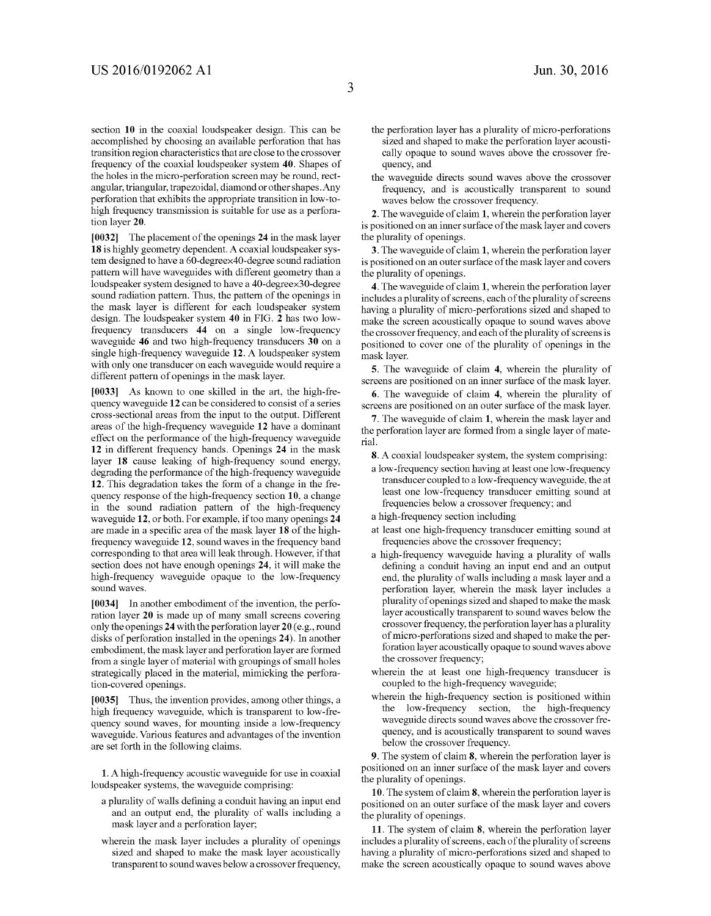section 10 in the coaxial loudspeaker design. This can be accomplished by choosing an available perforation that has transition region characteristics that are close to the crossover frequency of the coaxial loudspeaker system 40. Shapes of the holes in the micro-perforation screen may be round, rect angular, triangular, trapezoidal, diamond or other shapes. Any perforation that exhibits the appropriate transition in low-to high frequency transmission is suitable for use as a perfora-<br>tion layer 20.

[0032] The placement of the openings 24 in the mask layer 18 is highly geometry dependent. A coaxial loudspeaker system designed to have a 60-degreex40-degree sound radiation pattern will have waveguides with different geometry than a loudspeaker system designed to have a 40-degreex30-degree sound radiation pattern. Thus, the pattern of the openings in the mask layer is different for each loudspeaker system design. The loudspeaker system 40 in FIG.  $\hat{2}$  has two lowfrequency transducers 44 on a single low-frequency waveguide 46 and two high-frequency transducers 30 on a single high-frequency waveguide 12. A loudspeaker system with only one transducer on each waveguide would require a different pattern of openings in the mask layer.

0033. As known to one skilled in the art, the high-fre quency waveguide 12 can be considered to consist of a series cross-sectional areas from the input to the output. Different areas of the high-frequency waveguide 12 have a dominant effect on the performance of the high-frequency waveguide 12 in different frequency bands. Openings 24 in the mask layer 18 cause leaking of high-frequency sound energy, degrading the performance of the high-frequency waveguide 12. This degradation takes the form of a change in the fre quency response of the high-frequency section 10, a change<br>in the sound radiation pattern of the high-frequency waveguide 12, or both. For example, if too many openings 24 are made in a specific area of the mask layer 18 of the highfrequency waveguide 12, sound waves in the frequency band corresponding to that area will leakthrough. However, if that section does not have enough openings 24, it will make the high-frequency waveguide opaque to the low-frequency sound waves.

[0034] In another embodiment of the invention, the perforation layer 20 is made up of many small screens covering only the openings 24 with the perforation layer 20 (e.g., round disks of perforation installed in the openings 24). In another embodiment, the mask layer and perforation layer are formed from a single layer of material with groupings of small holes strategically placed in the material, mimicking the perfora tion-covered openings.

[0035] Thus, the invention provides, among other things, a high frequency waveguide, which is transparent to low-fre quency sound waves, for mounting inside a low-frequency waveguide. Various features and advantages of the invention are set forth in the following claims.

1. A high-frequency acoustic waveguide for use in coaxial loudspeaker systems, the waveguide comprising:

- a plurality of walls defining a conduit having an input end and an output end, the plurality of walls including a mask layer and a perforation layer,
- wherein the mask layer includes a plurality of openings sized and shaped to make the mask layer acoustically transparent to sound waves below a crossover frequency,
- the perforation layer has a plurality of micro-perforations sized and shaped to make the perforation layer acousti cally opaque to sound waves above the crossover frequency, and
- the waveguide directs sound waves above the crossover frequency, and is acoustically transparent to sound waves below the crossover frequency.

2. The waveguide of claim 1, wherein the perforation layer is positioned on an inner surface of the mask layer and covers the plurality of openings.

3. The waveguide of claim 1, wherein the perforation layer is positioned on an outer surface of the mask layer and covers the plurality of openings.

4. The waveguide of claim 1, wherein the perforation layer includes a plurality of screens, each of the plurality of screens having a plurality of micro-perforations sized and shaped to make the screen acoustically opaque to sound waves above the crossover frequency, and each of the plurality of screens is positioned to cover one of the plurality of openings in the mask layer.

5. The waveguide of claim 4, wherein the plurality of screens are positioned on an inner surface of the mask layer.

6. The waveguide of claim 4, wherein the plurality of screens are positioned on an outer surface of the mask layer.

7. The waveguide of claim 1, wherein the mask layer and the perforation layer are formed from a single layer of mate rial.

8. A coaxial loudspeaker system, the system comprising:

- a low-frequency section having at least one low-frequency transducer coupled to a low-frequency waveguide, the at least one low-frequency transducer emitting sound at frequencies below a crossover frequency; and
- a high-frequency section including
- at least one high-frequency transducer emitting sound at frequencies above the crossover frequency;
- a high-frequency waveguide having a plurality of walls defining a conduit having an input end and an output end, the plurality of walls including a mask layer and a perforation layer, wherein the mask layer includes a plurality of openings sized and shaped to make the mask layer acoustically transparent to sound waves below the crossover frequency, the perforation layer has a plurality of micro-perforations sized and shaped to make the per foration layer acoustically opaque to sound waves above the crossover frequency;
- wherein the at least one high-frequency transducer is coupled to the high-frequency waveguide;
- wherein the high-frequency section is positioned within the low-frequency section, the high-frequency waveguide directs sound waves above the crossover fre quency, and is acoustically transparent to sound waves below the crossover frequency.

9. The system of claim 8, wherein the perforation layer is positioned on an inner Surface of the mask layer and covers the plurality of openings.

10. The system of claim 8, wherein the perforation layer is positioned on an outer surface of the mask layer and covers the plurality of openings.

11. The system of claim 8, wherein the perforation layer includes a plurality of screens, each of the plurality of screens having a plurality of micro-perforations sized and shaped to make the screen acoustically opaque to sound waves above